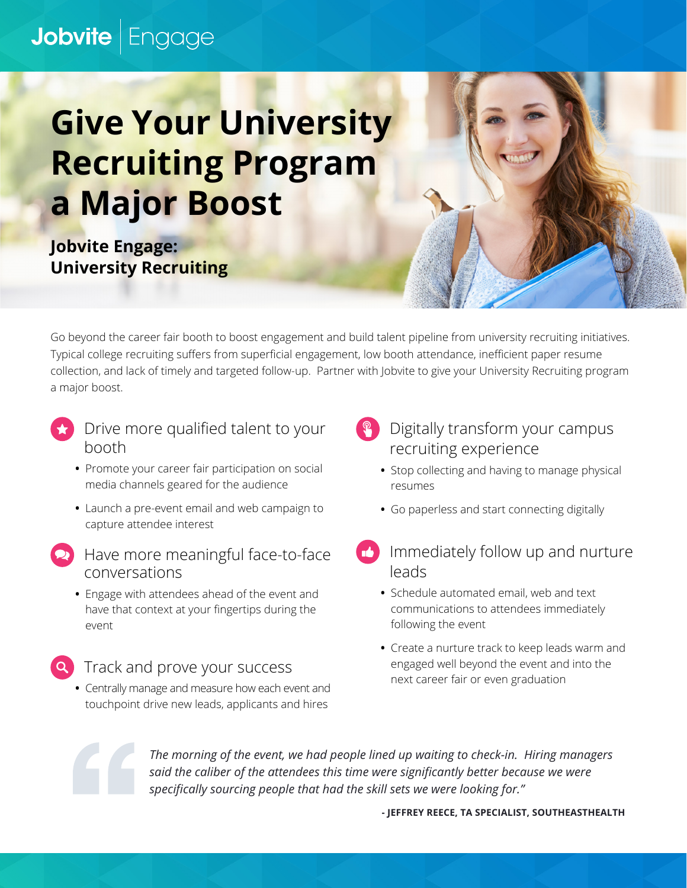## Jobvite | Engage

## **Give Your University Recruiting Program a Major Boost**

**Jobvite Engage: University Recruiting**

Go beyond the career fair booth to boost engagement and build talent pipeline from university recruiting initiatives. Typical college recruiting suffers from superficial engagement, low booth attendance, inefficient paper resume collection, and lack of timely and targeted follow-up. Partner with Jobvite to give your University Recruiting program a major boost.

- Drive more qualified talent to your booth
	- **•** Promote your career fair participation on social media channels geared for the audience
	- **•** Launch a pre-event email and web campaign to capture attendee interest
- Have more meaningful face-to-face conversations
	- **•** Engage with attendees ahead of the event and have that context at your fingertips during the event
	- Track and prove your success
	- **•** Centrally manage and measure how each event and touchpoint drive new leads, applicants and hires
- Digitally transform your campus recruiting experience
	- **•** Stop collecting and having to manage physical resumes
	- **•** Go paperless and start connecting digitally
- Immediately follow up and nurture leads
	- **•** Schedule automated email, web and text communications to attendees immediately following the event
	- **•** Create a nurture track to keep leads warm and engaged well beyond the event and into the next career fair or even graduation



*The morning of the event, we had people lined up waiting to check-in. Hiring managers said the caliber of the attendees this time were significantly better because we were specifically sourcing people that had the skill sets we were looking for."*

**- JEFFREY REECE, TA SPECIALIST, SOUTHEASTHEALTH**